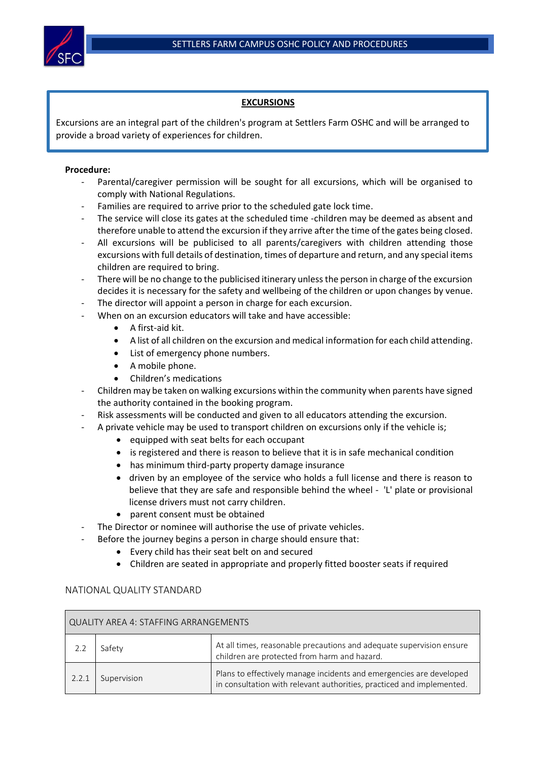

## **EXCURSIONS**

Excursions are an integral part of the children's program at Settlers Farm OSHC and will be arranged to provide a broad variety of experiences for children.

## **Procedure:**

- Parental/caregiver permission will be sought for all excursions, which will be organised to comply with National Regulations.
- Families are required to arrive prior to the scheduled gate lock time.
- The service will close its gates at the scheduled time -children may be deemed as absent and therefore unable to attend the excursion if they arrive after the time of the gates being closed.
- All excursions will be publicised to all parents/caregivers with children attending those excursions with full details of destination, times of departure and return, and any special items children are required to bring.
- There will be no change to the publicised itinerary unless the person in charge of the excursion decides it is necessary for the safety and wellbeing of the children or upon changes by venue.
- The director will appoint a person in charge for each excursion.
	- When on an excursion educators will take and have accessible:
		- A first-aid kit.
		- A list of all children on the excursion and medical information for each child attending.
		- List of emergency phone numbers.
		- A mobile phone.
		- Children's medications
- Children may be taken on walking excursions within the community when parents have signed the authority contained in the booking program.
- Risk assessments will be conducted and given to all educators attending the excursion.
- A private vehicle may be used to transport children on excursions only if the vehicle is;
	- equipped with seat belts for each occupant
	- is registered and there is reason to believe that it is in safe mechanical condition
	- has minimum third-party property damage insurance
	- driven by an employee of the service who holds a full license and there is reason to believe that they are safe and responsible behind the wheel - 'L' plate or provisional license drivers must not carry children.
	- parent consent must be obtained
- The Director or nominee will authorise the use of private vehicles.
	- Before the journey begins a person in charge should ensure that:
		- Every child has their seat belt on and secured
		- Children are seated in appropriate and properly fitted booster seats if required

## NATIONAL QUALITY STANDARD

| QUALITY AREA 4: STAFFING ARRANGEMENTS |             |                                                                                                                                              |  |  |
|---------------------------------------|-------------|----------------------------------------------------------------------------------------------------------------------------------------------|--|--|
|                                       | Safetv      | At all times, reasonable precautions and adequate supervision ensure<br>children are protected from harm and hazard.                         |  |  |
| 2.2.1                                 | Supervision | Plans to effectively manage incidents and emergencies are developed<br>in consultation with relevant authorities, practiced and implemented. |  |  |